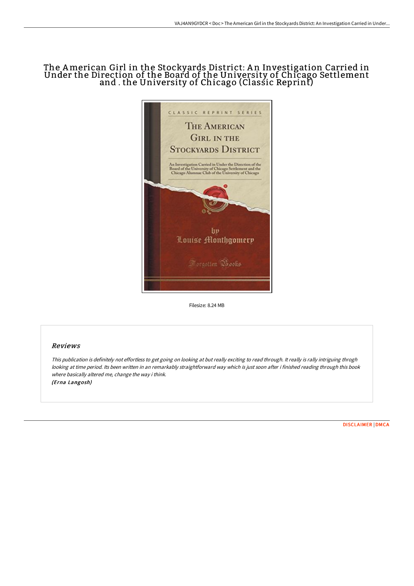## The American Girl in the Stockyards District: A n Investigation Carried in Under the Direction of the Board of the University of Chicago Settlement and . the University of Chicago (Classic Reprint)



Filesize: 8.24 MB

## Reviews

This publication is definitely not effortless to get going on looking at but really exciting to read through. It really is rally intriguing throgh looking at time period. Its been written in an remarkably straightforward way which is just soon after i finished reading through this book where basically altered me, change the way i think. (Erna Langosh)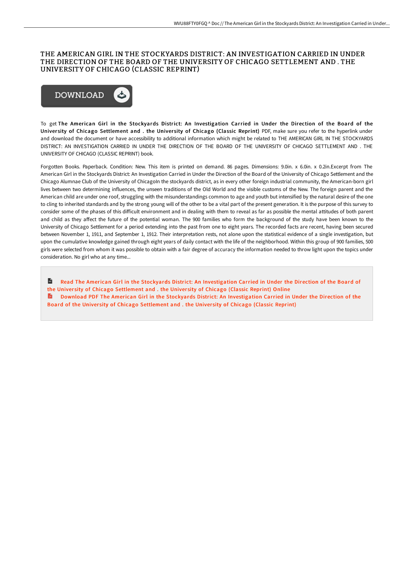## THE AMERICAN GIRL IN THE STOCKYARDS DISTRICT: AN INVESTIGATION CARRIED IN UNDER THE DIRECTION OF THE BOARD OF THE UNIVERSITY OF CHICAGO SETTLEMENT AND . THE UNIVERSITY OF CHICAGO (CLASSIC REPRINT)



To get The American Girl in the Stockyards District: An Investigation Carried in Under the Direction of the Board of the University of Chicago Settlement and . the University of Chicago (Classic Reprint) PDF, make sure you refer to the hyperlink under and download the document or have accessibility to additional information which might be related to THE AMERICAN GIRL IN THE STOCKYARDS DISTRICT: AN INVESTIGATION CARRIED IN UNDER THE DIRECTION OF THE BOARD OF THE UNIVERSITY OF CHICAGO SETTLEMENT AND . THE UNIVERSITY OF CHICAGO (CLASSIC REPRINT) book.

Forgotten Books. Paperback. Condition: New. This item is printed on demand. 86 pages. Dimensions: 9.0in. x 6.0in. x 0.2in.Excerpt from The American Girl in the Stockyards District: An Investigation Carried in Under the Direction of the Board of the University of Chicago Settlement and the Chicago Alumnae Club of the University of ChicagoIn the stockyards district, as in every other foreign industrial community, the American-born girl lives between two determining influences, the unseen traditions of the Old World and the visible customs of the New. The foreign parent and the American child are under one roof, struggling with the misunderstandings common to age and youth but intensified by the natural desire of the one to cling to inherited standards and by the strong young will of the other to be a vital part of the present generation. It is the purpose of this survey to consider some of the phases of this difficult environment and in dealing with them to reveal as far as possible the mental attitudes of both parent and child as they affect the future of the potential woman. The 900 families who form the background of the study have been known to the University of Chicago Settlement for a period extending into the past from one to eight years. The recorded facts are recent, having been secured between November 1, 1911, and September 1, 1912. Their interpretation rests, not alone upon the statistical evidence of a single investigation, but upon the cumulative knowledge gained through eight years of daily contact with the life of the neighborhood. Within this group of 900 families, 500 girls were selected from whom it was possible to obtain with a fair degree of accuracy the information needed to throw light upon the topics under consideration. No girl who at any time...

 $\mathbf{r}$ Read The American Girl in the Stockyards District: An [Investigation](http://www.bookdirs.com/the-american-girl-in-the-stockyards-district-an-.html) Carried in Under the Direction of the Board of the University of Chicago Settlement and . the University of Chicago (Classic Reprint) Online R Download PDF The American Girl in the Stockyards District: An [Investigation](http://www.bookdirs.com/the-american-girl-in-the-stockyards-district-an-.html) Carried in Under the Direction of the Board of the University of Chicago Settlement and . the University of Chicago (Classic Reprint)